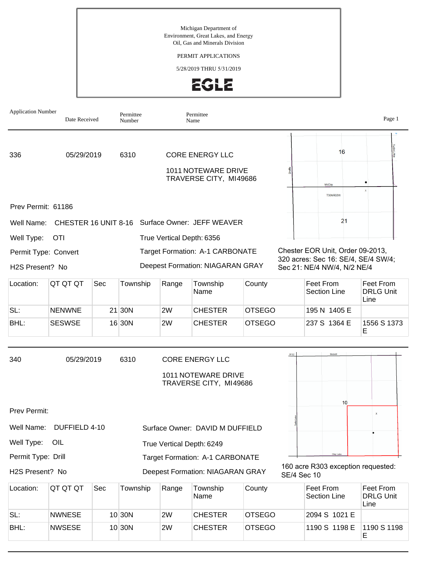PERMIT APPLICATIONS

5/28/2019 THRU 5/31/2019





BHL: |NWSESE | 10 |30N |2W |CHESTER |OTSEGO |1190 S 1198 E |1190 S 1198

E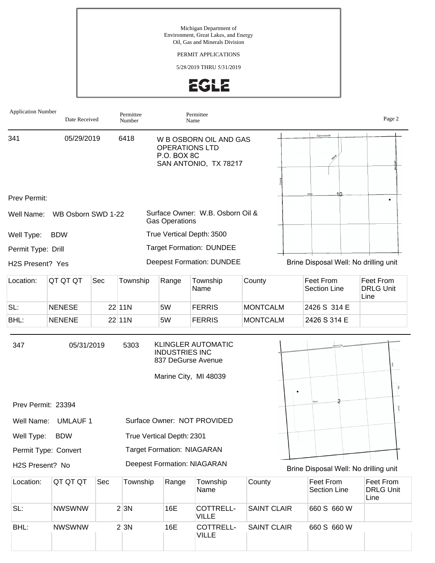### PERMIT APPLICATIONS

5/28/2019 THRU 5/31/2019



| <b>Application Number</b> | Date Received        |     | Permittee<br>Number |                                             | Permittee<br>Name                                  |                    |                                       | Page 2                                |
|---------------------------|----------------------|-----|---------------------|---------------------------------------------|----------------------------------------------------|--------------------|---------------------------------------|---------------------------------------|
| 341                       | 05/29/2019           |     | 6418                | OPERATIONS LTD<br>P.O. BOX 8C               | W B OSBORN OIL AND GAS<br>SAN ANTONIO, TX 78217    |                    | Cannonsville                          |                                       |
| Prev Permit:              |                      |     |                     |                                             |                                                    |                    |                                       |                                       |
| Well Name:                | WB Osborn SWD 1-22   |     |                     | <b>Gas Operations</b>                       | Surface Owner: W.B. Osborn Oil &                   |                    |                                       |                                       |
| Well Type:                | <b>BDW</b>           |     |                     |                                             | True Vertical Depth: 3500                          |                    |                                       |                                       |
| Permit Type: Drill        |                      |     |                     |                                             | <b>Target Formation: DUNDEE</b>                    |                    |                                       |                                       |
| H2S Present? Yes          |                      |     |                     |                                             | <b>Deepest Formation: DUNDEE</b>                   |                    | Brine Disposal Well: No drilling unit |                                       |
| Location:                 | QT QT QT             | Sec | Township            | Range                                       | Township<br>Name                                   | County             | Feet From<br><b>Section Line</b>      | Feet From<br><b>DRLG Unit</b><br>Line |
| SL:                       | <b>NENESE</b>        |     | $22$ 11N            | 5W                                          | <b>FERRIS</b>                                      | <b>MONTCALM</b>    | 2426 S 314 E                          |                                       |
| BHL:                      | <b>NENENE</b>        |     | 22 11N              | 5W                                          | <b>FERRIS</b>                                      | <b>MONTCALM</b>    | 2426 S 314 E                          |                                       |
| 347                       | 05/31/2019           |     | 5303                | <b>INDUSTRIES INC</b><br>837 DeGurse Avenue | <b>KLINGLER AUTOMATIC</b><br>Marine City, MI 48039 |                    |                                       | ⊺ĝ                                    |
| Prev Permit: 23394        |                      |     |                     |                                             |                                                    |                    |                                       | <b>THE</b>                            |
|                           | Well Name: UMLAUF 1  |     |                     |                                             | Surface Owner: NOT PROVIDED                        |                    |                                       |                                       |
| Well Type:                | <b>BDW</b>           |     |                     | True Vertical Depth: 2301                   |                                                    |                    |                                       |                                       |
|                           | Permit Type: Convert |     |                     | <b>Target Formation: NIAGARAN</b>           |                                                    |                    |                                       |                                       |
| H2S Present? No           |                      |     |                     |                                             | <b>Deepest Formation: NIAGARAN</b>                 |                    | Brine Disposal Well: No drilling unit |                                       |
| Location:                 | QT QT QT             | Sec | Township            | Range                                       | Township<br>Name                                   | County             | Feet From<br>Section Line             | Feet From<br><b>DRLG Unit</b><br>Line |
| SL:                       | <b>NWSWNW</b>        |     | 2 3N                | 16E                                         | COTTRELL-<br><b>VILLE</b>                          | <b>SAINT CLAIR</b> | 660 S 660 W                           |                                       |
| BHL:                      | <b>NWSWNW</b>        |     | 2 3 N               | 16E                                         | COTTRELL-                                          | <b>SAINT CLAIR</b> | 660 S 660 W                           |                                       |

VILLE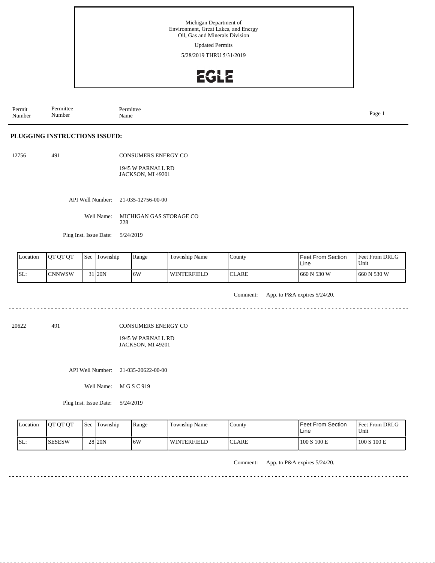Updated Permits

5/28/2019 THRU 5/31/2019

## **EGLE**

Permit Number Permittee Number Permittee<br>Name Name Page 1

### **PLUGGING INSTRUCTIONS ISSUED:**

| 12756 | 491 | <b>CONSUMERS ENERGY CO</b> |
|-------|-----|----------------------------|
|       |     |                            |

1945 W PARNALL RD JACKSON, MI 49201

API Well Number: 21-035-12756-00-00

Well Name: MICHIGAN GAS STORAGE CO 228

Plug Inst. Issue Date: 5/24/2019

<u>. . . . . . . . .</u>

| <b>L</b> ocation | <b>IOT OT OT</b> | Sec | Township | Range | <b>Township Name</b> | County | Feet From Section<br>Line | Feet From DRLG<br>'Unit |
|------------------|------------------|-----|----------|-------|----------------------|--------|---------------------------|-------------------------|
| SL:              | <b>ICNNWSW</b>   |     | 31 20N   | 6W    | WINTERFIELD          | ICLARE | 660 N 530 W               | $1660$ N 530 W          |

Comment: App. to P&A expires 5/24/20.

20622 491

CONSUMERS ENERGY CO

1945 W PARNALL RD JACKSON, MI 49201

API Well Number: 21-035-20622-00-00

Well Name: M G S C 919

Plug Inst. Issue Date: 5/24/2019

| Location | <b>IOT OT OT</b> | <b>Sec Township</b> | Range | Township Name      | County        | <b>Feet From Section</b><br>Line | <b>Feet From DRLG</b><br>Unit |
|----------|------------------|---------------------|-------|--------------------|---------------|----------------------------------|-------------------------------|
| ISL:     | <b>SESESW</b>    | 28 <sub>20N</sub>   | 16W   | <b>WINTERFIELD</b> | <b>ICLARE</b> | 100 S 100 E                      | 100 S 100 E                   |

Comment: App. to P&A expires 5/24/20.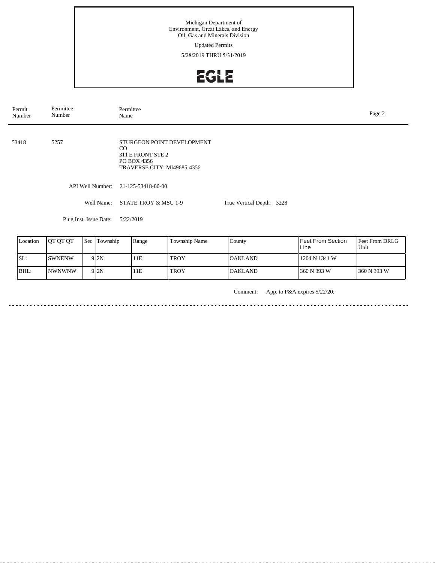Updated Permits

5/28/2019 THRU 5/31/2019

# EGLE

| Permit<br>Number | Permittee<br>Number | Permittee<br>Page 2<br>Name                                                                               |                           |  |  |  |  |  |
|------------------|---------------------|-----------------------------------------------------------------------------------------------------------|---------------------------|--|--|--|--|--|
| 53418            | 5257                | STURGEON POINT DEVELOPMENT<br>$\rm CO$<br>311 E FRONT STE 2<br>PO BOX 4356<br>TRAVERSE CITY, MI49685-4356 |                           |  |  |  |  |  |
|                  | API Well Number:    | 21-125-53418-00-00                                                                                        |                           |  |  |  |  |  |
|                  | Well Name:          | STATE TROY & MSU 1-9                                                                                      | True Vertical Depth: 3228 |  |  |  |  |  |
|                  |                     |                                                                                                           |                           |  |  |  |  |  |

Plug Inst. Issue Date: 5/22/2019

| Location | <b>OT OT OT</b> | <b>Sec Township</b> | Range | Township Name | County         | <b>Feet From Section</b><br>Line | <b>Feet From DRLG</b><br>Unit |
|----------|-----------------|---------------------|-------|---------------|----------------|----------------------------------|-------------------------------|
| SL:      | <b>SWNENW</b>   | 9 2N                | 11E   | <b>TROY</b>   | <b>OAKLAND</b> | 1204 N 1341 W                    |                               |
| BHL:     | <b>INWNWNW</b>  | 9 2N                | 11E   | <b>TROY</b>   | <b>OAKLAND</b> | 360 N 393 W                      | 360 N 393 W                   |

Comment: App. to P&A expires 5/22/20.

<u>. . . . . . .</u>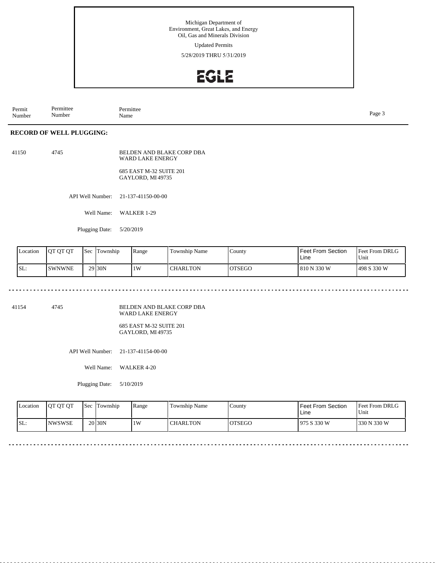Updated Permits

5/28/2019 THRU 5/31/2019

## EGLE

Permit Number Permittee Number Permittee<br>Name Page 3<br>Name

### **RECORD OF WELL PLUGGING:**

41150 4745 BELDEN AND BLAKE CORP DBA WARD LAKE ENERGY 685 EAST M-32 SUITE 201 GAYLORD, MI 49735

API Well Number: 21-137-41150-00-00

Well Name: WALKER 1-29

Plugging Date: 5/20/2019

. . . . . . .

| Location | <b>IOT OT OT</b> | <b>Sec</b> | Township           | Range | <b>Township Name</b> | $\frac{1}{2}$ County | l Feet From Section.<br>Line | <b>Feet From DRLG</b><br>Unit |
|----------|------------------|------------|--------------------|-------|----------------------|----------------------|------------------------------|-------------------------------|
| SL:      | ISWNWNE          |            | 29 <sub>30</sub> N | 1W    | <b>CHARLTON</b>      | <b>OTSEGO</b>        | 810 N 330 W                  | 498 S 330 W                   |

. . . . . . . . . . . . . . . . .

41154 4745

BELDEN AND BLAKE CORP DBA WARD LAKE ENERGY

685 EAST M-32 SUITE 201 GAYLORD, MI 49735

API Well Number: 21-137-41154-00-00

Well Name: WALKER 4-20

Plugging Date: 5/10/2019

| <b>Location</b> | <b>OT OT OT</b> | l Sec | Township           | Range | Township Name   | County         | Feet From Section<br>Line | <b>Feet From DRLG</b><br>Unit |
|-----------------|-----------------|-------|--------------------|-------|-----------------|----------------|---------------------------|-------------------------------|
| SL:             | <b>NWSWSE</b>   |       | 20 <sub>30</sub> N | 1W    | <b>CHARLTON</b> | <b>IOTSEGO</b> | l 975 S 330 W             | 330 N 330 W                   |

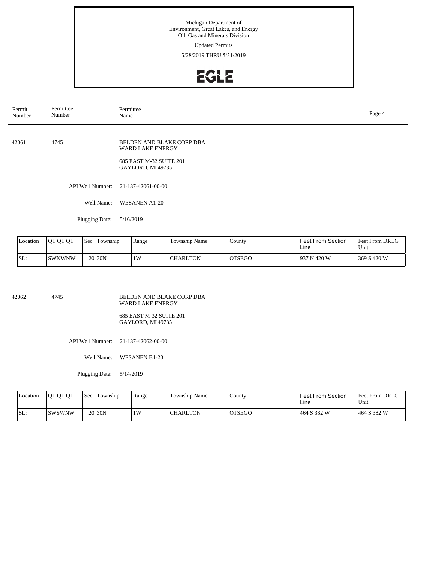### Updated Permits

5/28/2019 THRU 5/31/2019

## **EGLE**

| Permit | Number                                                                                             | Permittee<br>Number         |  |                  | Permittee<br>Page 4<br>Name                                                                  |               |        |                                  |                        |  |  |
|--------|----------------------------------------------------------------------------------------------------|-----------------------------|--|------------------|----------------------------------------------------------------------------------------------|---------------|--------|----------------------------------|------------------------|--|--|
| 42061  |                                                                                                    | 4745                        |  |                  | BELDEN AND BLAKE CORP DBA<br>WARD LAKE ENERGY<br>685 EAST M-32 SUITE 201<br>GAYLORD, MI49735 |               |        |                                  |                        |  |  |
|        |                                                                                                    |                             |  | API Well Number: | 21-137-42061-00-00                                                                           |               |        |                                  |                        |  |  |
|        |                                                                                                    |                             |  | Well Name:       | <b>WESANEN A1-20</b>                                                                         |               |        |                                  |                        |  |  |
|        |                                                                                                    | Plugging Date:<br>5/16/2019 |  |                  |                                                                                              |               |        |                                  |                        |  |  |
|        |                                                                                                    |                             |  |                  |                                                                                              |               |        |                                  |                        |  |  |
|        | Location                                                                                           | QT QT QT                    |  | Sec Township     | Range                                                                                        | Township Name | County | <b>Feet From Section</b><br>Line | Feet From DRLG<br>Unit |  |  |
|        | SL:<br>20 <sub>30N</sub><br><b>SWNWNW</b><br>1W<br><b>CHARLTON</b><br><b>OTSEGO</b><br>937 N 420 W |                             |  |                  |                                                                                              |               |        | 369 S 420 W                      |                        |  |  |

<u>. . . . . . . . . . . . .</u>

 $\omega$  in  $\omega$  in

42062 4745

BELDEN AND BLAKE CORP DBA WARD LAKE ENERGY

685 EAST M-32 SUITE 201 GAYLORD, MI 49735

API Well Number: 21-137-42062-00-00

Well Name: WESANEN B1-20

Plugging Date: 5/14/2019

<u>. . . . . . . . .</u>

| <b>Location</b> | <b>OT OT OT</b> | <b>Sec</b> | Township           | Range | Township Name | County        | Feet From Section<br>Line | <b>Feet From DRLG</b><br>Unit |
|-----------------|-----------------|------------|--------------------|-------|---------------|---------------|---------------------------|-------------------------------|
| SL:             | ISWSWNW         |            | 20 <sub>30</sub> N | 1W    | CHARLTON      | <b>OTSEGO</b> | 464 S 382 W               | 1464 S 382 W                  |